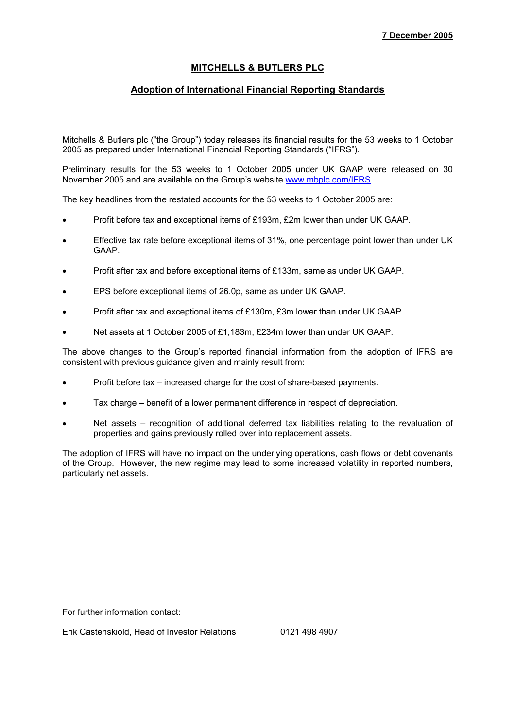# **MITCHELLS & BUTLERS PLC**

# **Adoption of International Financial Reporting Standards**

Mitchells & Butlers plc ("the Group") today releases its financial results for the 53 weeks to 1 October 2005 as prepared under International Financial Reporting Standards ("IFRS").

Preliminary results for the 53 weeks to 1 October 2005 under UK GAAP were released on 30 November 2005 and are available on the Group's website www.mbplc.com/IFRS.

The key headlines from the restated accounts for the 53 weeks to 1 October 2005 are:

- Profit before tax and exceptional items of £193m, £2m lower than under UK GAAP.
- Effective tax rate before exceptional items of 31%, one percentage point lower than under UK GAAP.
- Profit after tax and before exceptional items of £133m, same as under UK GAAP.
- EPS before exceptional items of 26.0p, same as under UK GAAP.
- Profit after tax and exceptional items of £130m, £3m lower than under UK GAAP.
- Net assets at 1 October 2005 of £1,183m, £234m lower than under UK GAAP.

The above changes to the Group's reported financial information from the adoption of IFRS are consistent with previous guidance given and mainly result from:

- Profit before tax increased charge for the cost of share-based payments.
- Tax charge benefit of a lower permanent difference in respect of depreciation.
- Net assets recognition of additional deferred tax liabilities relating to the revaluation of properties and gains previously rolled over into replacement assets.

The adoption of IFRS will have no impact on the underlying operations, cash flows or debt covenants of the Group. However, the new regime may lead to some increased volatility in reported numbers, particularly net assets.

For further information contact:

Erik Castenskiold, Head of Investor Relations 0121 498 4907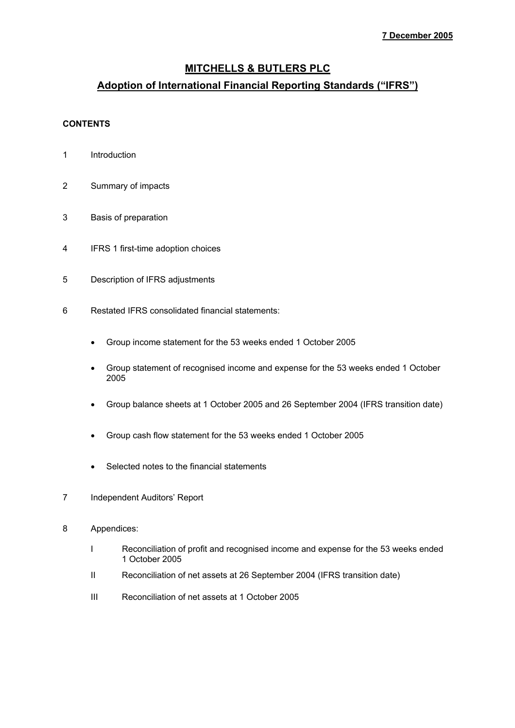# **MITCHELLS & BUTLERS PLC**

# **Adoption of International Financial Reporting Standards ("IFRS")**

# **CONTENTS**

- 1 Introduction
- 2 Summary of impacts
- 3 Basis of preparation
- 4 IFRS 1 first-time adoption choices
- 5 Description of IFRS adjustments
- 6 Restated IFRS consolidated financial statements:
	- Group income statement for the 53 weeks ended 1 October 2005
	- Group statement of recognised income and expense for the 53 weeks ended 1 October 2005
	- Group balance sheets at 1 October 2005 and 26 September 2004 (IFRS transition date)
	- Group cash flow statement for the 53 weeks ended 1 October 2005
	- Selected notes to the financial statements
- 7 Independent Auditors' Report
- 8 Appendices:
	- I Reconciliation of profit and recognised income and expense for the 53 weeks ended 1 October 2005
	- II Reconciliation of net assets at 26 September 2004 (IFRS transition date)
	- III Reconciliation of net assets at 1 October 2005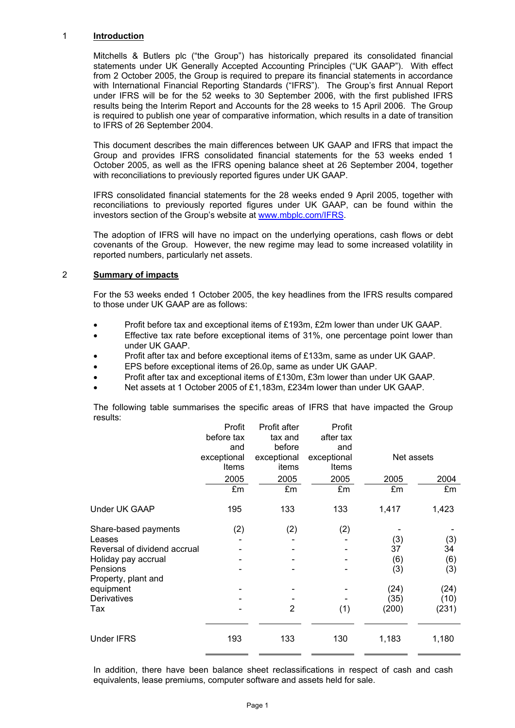## 1 **Introduction**

Mitchells & Butlers plc ("the Group") has historically prepared its consolidated financial statements under UK Generally Accepted Accounting Principles ("UK GAAP"). With effect from 2 October 2005, the Group is required to prepare its financial statements in accordance with International Financial Reporting Standards ("IFRS"). The Group's first Annual Report under IFRS will be for the 52 weeks to 30 September 2006, with the first published IFRS results being the Interim Report and Accounts for the 28 weeks to 15 April 2006. The Group is required to publish one year of comparative information, which results in a date of transition to IFRS of 26 September 2004.

This document describes the main differences between UK GAAP and IFRS that impact the Group and provides IFRS consolidated financial statements for the 53 weeks ended 1 October 2005, as well as the IFRS opening balance sheet at 26 September 2004, together with reconciliations to previously reported figures under UK GAAP.

IFRS consolidated financial statements for the 28 weeks ended 9 April 2005, together with reconciliations to previously reported figures under UK GAAP, can be found within the investors section of the Group's website at www.mbplc.com/IFRS.

The adoption of IFRS will have no impact on the underlying operations, cash flows or debt covenants of the Group. However, the new regime may lead to some increased volatility in reported numbers, particularly net assets.

## 2 **Summary of impacts**

For the 53 weeks ended 1 October 2005, the key headlines from the IFRS results compared to those under UK GAAP are as follows:

- Profit before tax and exceptional items of £193m, £2m lower than under UK GAAP.
- Effective tax rate before exceptional items of 31%, one percentage point lower than under UK GAAP.
- Profit after tax and before exceptional items of £133m, same as under UK GAAP.
- EPS before exceptional items of 26.0p, same as under UK GAAP.
- Profit after tax and exceptional items of £130m, £3m lower than under UK GAAP.
- Net assets at 1 October 2005 of £1,183m, £234m lower than under UK GAAP.

The following table summarises the specific areas of IFRS that have impacted the Group results:

|                              | Profit      | Profit after   | Profit       |            |       |
|------------------------------|-------------|----------------|--------------|------------|-------|
|                              | before tax  | tax and        | after tax    |            |       |
|                              | and         | before         | and          |            |       |
|                              | exceptional | exceptional    | exceptional  | Net assets |       |
|                              | Items       | items          | <b>Items</b> |            |       |
|                              | 2005        | 2005           | 2005         | 2005       | 2004  |
|                              | £m          | £m             | £m           | £m         | £m    |
| <b>Under UK GAAP</b>         | 195         | 133            | 133          | 1,417      | 1,423 |
| Share-based payments         | (2)         | (2)            | (2)          |            |       |
| Leases                       |             |                |              | (3)        | (3)   |
| Reversal of dividend accrual |             |                |              | 37         | 34    |
| Holiday pay accrual          |             |                |              | (6)        | (6)   |
| Pensions                     |             |                |              | (3)        | (3)   |
| Property, plant and          |             |                |              |            |       |
| equipment                    |             |                |              | (24)       | (24)  |
| Derivatives                  |             |                |              | (35)       | (10)  |
| Tax                          |             | $\overline{2}$ | (1)          | (200)      | (231) |
|                              |             |                |              |            |       |
| <b>Under IFRS</b>            | 193         | 133            | 130          | 1,183      | 1,180 |

In addition, there have been balance sheet reclassifications in respect of cash and cash equivalents, lease premiums, computer software and assets held for sale.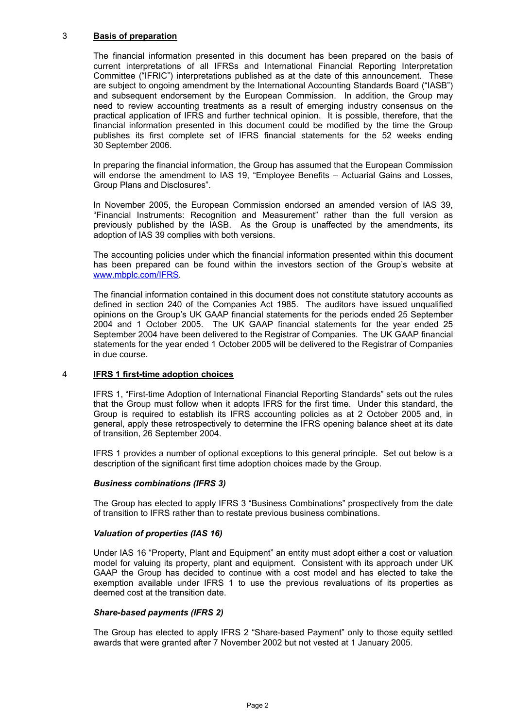# 3 **Basis of preparation**

The financial information presented in this document has been prepared on the basis of current interpretations of all IFRSs and International Financial Reporting Interpretation Committee ("IFRIC") interpretations published as at the date of this announcement. These are subject to ongoing amendment by the International Accounting Standards Board ("IASB") and subsequent endorsement by the European Commission. In addition, the Group may need to review accounting treatments as a result of emerging industry consensus on the practical application of IFRS and further technical opinion. It is possible, therefore, that the financial information presented in this document could be modified by the time the Group publishes its first complete set of IFRS financial statements for the 52 weeks ending 30 September 2006.

In preparing the financial information, the Group has assumed that the European Commission will endorse the amendment to IAS 19, "Employee Benefits – Actuarial Gains and Losses, Group Plans and Disclosures".

In November 2005, the European Commission endorsed an amended version of IAS 39, "Financial Instruments: Recognition and Measurement" rather than the full version as previously published by the IASB. As the Group is unaffected by the amendments, its adoption of IAS 39 complies with both versions.

The accounting policies under which the financial information presented within this document has been prepared can be found within the investors section of the Group's website at www.mbplc.com/IFRS.

The financial information contained in this document does not constitute statutory accounts as defined in section 240 of the Companies Act 1985. The auditors have issued unqualified opinions on the Group's UK GAAP financial statements for the periods ended 25 September 2004 and 1 October 2005. The UK GAAP financial statements for the year ended 25 September 2004 have been delivered to the Registrar of Companies. The UK GAAP financial statements for the year ended 1 October 2005 will be delivered to the Registrar of Companies in due course.

#### 4 **IFRS 1 first-time adoption choices**

IFRS 1, "First-time Adoption of International Financial Reporting Standards" sets out the rules that the Group must follow when it adopts IFRS for the first time. Under this standard, the Group is required to establish its IFRS accounting policies as at 2 October 2005 and, in general, apply these retrospectively to determine the IFRS opening balance sheet at its date of transition, 26 September 2004.

IFRS 1 provides a number of optional exceptions to this general principle. Set out below is a description of the significant first time adoption choices made by the Group.

## *Business combinations (IFRS 3)*

The Group has elected to apply IFRS 3 "Business Combinations" prospectively from the date of transition to IFRS rather than to restate previous business combinations.

#### *Valuation of properties (IAS 16)*

Under IAS 16 "Property, Plant and Equipment" an entity must adopt either a cost or valuation model for valuing its property, plant and equipment. Consistent with its approach under UK GAAP the Group has decided to continue with a cost model and has elected to take the exemption available under IFRS 1 to use the previous revaluations of its properties as deemed cost at the transition date.

#### *Share-based payments (IFRS 2)*

The Group has elected to apply IFRS 2 "Share-based Payment" only to those equity settled awards that were granted after 7 November 2002 but not vested at 1 January 2005.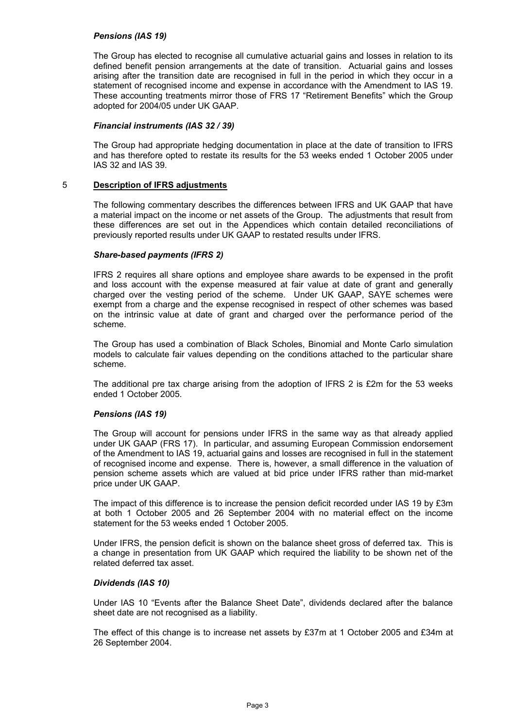## *Pensions (IAS 19)*

The Group has elected to recognise all cumulative actuarial gains and losses in relation to its defined benefit pension arrangements at the date of transition. Actuarial gains and losses arising after the transition date are recognised in full in the period in which they occur in a statement of recognised income and expense in accordance with the Amendment to IAS 19. These accounting treatments mirror those of FRS 17 "Retirement Benefits" which the Group adopted for 2004/05 under UK GAAP.

#### *Financial instruments (IAS 32 / 39)*

The Group had appropriate hedging documentation in place at the date of transition to IFRS and has therefore opted to restate its results for the 53 weeks ended 1 October 2005 under IAS 32 and IAS 39.

## 5 **Description of IFRS adjustments**

The following commentary describes the differences between IFRS and UK GAAP that have a material impact on the income or net assets of the Group. The adjustments that result from these differences are set out in the Appendices which contain detailed reconciliations of previously reported results under UK GAAP to restated results under IFRS.

## *Share-based payments (IFRS 2)*

IFRS 2 requires all share options and employee share awards to be expensed in the profit and loss account with the expense measured at fair value at date of grant and generally charged over the vesting period of the scheme. Under UK GAAP, SAYE schemes were exempt from a charge and the expense recognised in respect of other schemes was based on the intrinsic value at date of grant and charged over the performance period of the scheme.

The Group has used a combination of Black Scholes, Binomial and Monte Carlo simulation models to calculate fair values depending on the conditions attached to the particular share scheme.

The additional pre tax charge arising from the adoption of IFRS 2 is  $£2m$  for the 53 weeks ended 1 October 2005.

# *Pensions (IAS 19)*

The Group will account for pensions under IFRS in the same way as that already applied under UK GAAP (FRS 17). In particular, and assuming European Commission endorsement of the Amendment to IAS 19, actuarial gains and losses are recognised in full in the statement of recognised income and expense. There is, however, a small difference in the valuation of pension scheme assets which are valued at bid price under IFRS rather than mid-market price under UK GAAP.

The impact of this difference is to increase the pension deficit recorded under IAS 19 by £3m at both 1 October 2005 and 26 September 2004 with no material effect on the income statement for the 53 weeks ended 1 October 2005.

Under IFRS, the pension deficit is shown on the balance sheet gross of deferred tax. This is a change in presentation from UK GAAP which required the liability to be shown net of the related deferred tax asset.

#### *Dividends (IAS 10)*

Under IAS 10 "Events after the Balance Sheet Date", dividends declared after the balance sheet date are not recognised as a liability.

The effect of this change is to increase net assets by £37m at 1 October 2005 and £34m at 26 September 2004.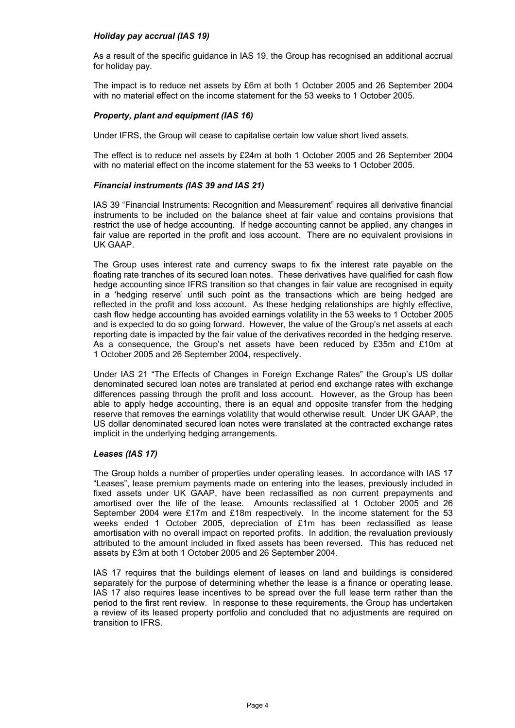## *Holiday pay accrual (IAS 19)*

As a result of the specific guidance in IAS 19, the Group has recognised an additional accrual for holiday pay.

The impact is to reduce net assets by £6m at both 1 October 2005 and 26 September 2004 with no material effect on the income statement for the 53 weeks to 1 October 2005.

#### *Property, plant and equipment (IAS 16)*

Under IFRS, the Group will cease to capitalise certain low value short lived assets.

The effect is to reduce net assets by £24m at both 1 October 2005 and 26 September 2004 with no material effect on the income statement for the 53 weeks to 1 October 2005.

#### *Financial instruments (IAS 39 and IAS 21)*

IAS 39 "Financial Instruments: Recognition and Measurement" requires all derivative financial instruments to be included on the balance sheet at fair value and contains provisions that restrict the use of hedge accounting. If hedge accounting cannot be applied, any changes in fair value are reported in the profit and loss account. There are no equivalent provisions in UK GAAP.

The Group uses interest rate and currency swaps to fix the interest rate payable on the floating rate tranches of its secured loan notes. These derivatives have qualified for cash flow hedge accounting since IFRS transition so that changes in fair value are recognised in equity in a 'hedging reserve' until such point as the transactions which are being hedged are reflected in the profit and loss account. As these hedging relationships are highly effective, cash flow hedge accounting has avoided earnings volatility in the 53 weeks to 1 October 2005 and is expected to do so going forward. However, the value of the Group's net assets at each reporting date is impacted by the fair value of the derivatives recorded in the hedging reserve. As a consequence, the Group's net assets have been reduced by £35m and £10m at 1 October 2005 and 26 September 2004, respectively.

Under IAS 21 "The Effects of Changes in Foreign Exchange Rates" the Group's US dollar denominated secured loan notes are translated at period end exchange rates with exchange differences passing through the profit and loss account. However, as the Group has been able to apply hedge accounting, there is an equal and opposite transfer from the hedging reserve that removes the earnings volatility that would otherwise result. Under UK GAAP, the US dollar denominated secured loan notes were translated at the contracted exchange rates implicit in the underlying hedging arrangements.

#### *Leases (IAS 17)*

The Group holds a number of properties under operating leases. In accordance with IAS 17 "Leases", lease premium payments made on entering into the leases, previously included in fixed assets under UK GAAP, have been reclassified as non current prepayments and amortised over the life of the lease. Amounts reclassified at 1 October 2005 and 26 September 2004 were £17m and £18m respectively. In the income statement for the 53 weeks ended 1 October 2005, depreciation of £1m has been reclassified as lease amortisation with no overall impact on reported profits. In addition, the revaluation previously attributed to the amount included in fixed assets has been reversed. This has reduced net assets by £3m at both 1 October 2005 and 26 September 2004.

IAS 17 requires that the buildings element of leases on land and buildings is considered separately for the purpose of determining whether the lease is a finance or operating lease. IAS 17 also requires lease incentives to be spread over the full lease term rather than the period to the first rent review. In response to these requirements, the Group has undertaken a review of its leased property portfolio and concluded that no adjustments are required on transition to IFRS.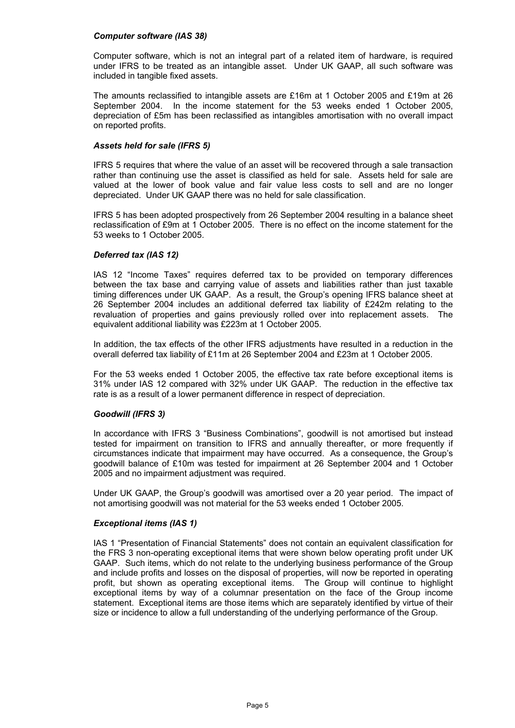#### *Computer software (IAS 38)*

Computer software, which is not an integral part of a related item of hardware, is required under IFRS to be treated as an intangible asset. Under UK GAAP, all such software was included in tangible fixed assets.

The amounts reclassified to intangible assets are £16m at 1 October 2005 and £19m at 26 September 2004. In the income statement for the 53 weeks ended 1 October 2005, depreciation of £5m has been reclassified as intangibles amortisation with no overall impact on reported profits.

## *Assets held for sale (IFRS 5)*

IFRS 5 requires that where the value of an asset will be recovered through a sale transaction rather than continuing use the asset is classified as held for sale. Assets held for sale are valued at the lower of book value and fair value less costs to sell and are no longer depreciated. Under UK GAAP there was no held for sale classification.

IFRS 5 has been adopted prospectively from 26 September 2004 resulting in a balance sheet reclassification of £9m at 1 October 2005. There is no effect on the income statement for the 53 weeks to 1 October 2005.

## *Deferred tax (IAS 12)*

IAS 12 "Income Taxes" requires deferred tax to be provided on temporary differences between the tax base and carrying value of assets and liabilities rather than just taxable timing differences under UK GAAP. As a result, the Group's opening IFRS balance sheet at 26 September 2004 includes an additional deferred tax liability of £242m relating to the revaluation of properties and gains previously rolled over into replacement assets. The equivalent additional liability was £223m at 1 October 2005.

In addition, the tax effects of the other IFRS adjustments have resulted in a reduction in the overall deferred tax liability of £11m at 26 September 2004 and £23m at 1 October 2005.

For the 53 weeks ended 1 October 2005, the effective tax rate before exceptional items is 31% under IAS 12 compared with 32% under UK GAAP. The reduction in the effective tax rate is as a result of a lower permanent difference in respect of depreciation.

# *Goodwill (IFRS 3)*

In accordance with IFRS 3 "Business Combinations", goodwill is not amortised but instead tested for impairment on transition to IFRS and annually thereafter, or more frequently if circumstances indicate that impairment may have occurred. As a consequence, the Group's goodwill balance of £10m was tested for impairment at 26 September 2004 and 1 October 2005 and no impairment adjustment was required.

Under UK GAAP, the Group's goodwill was amortised over a 20 year period. The impact of not amortising goodwill was not material for the 53 weeks ended 1 October 2005.

#### *Exceptional items (IAS 1)*

IAS 1 "Presentation of Financial Statements" does not contain an equivalent classification for the FRS 3 non-operating exceptional items that were shown below operating profit under UK GAAP. Such items, which do not relate to the underlying business performance of the Group and include profits and losses on the disposal of properties, will now be reported in operating profit, but shown as operating exceptional items. The Group will continue to highlight exceptional items by way of a columnar presentation on the face of the Group income statement. Exceptional items are those items which are separately identified by virtue of their size or incidence to allow a full understanding of the underlying performance of the Group.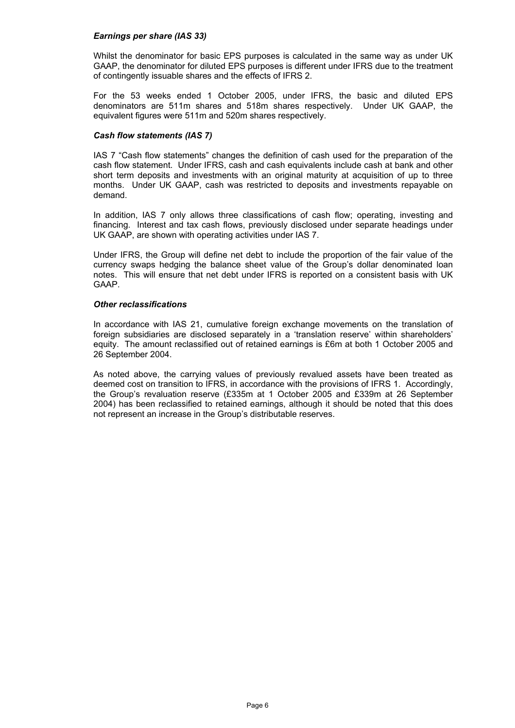### *Earnings per share (IAS 33)*

Whilst the denominator for basic EPS purposes is calculated in the same way as under UK GAAP, the denominator for diluted EPS purposes is different under IFRS due to the treatment of contingently issuable shares and the effects of IFRS 2.

For the 53 weeks ended 1 October 2005, under IFRS, the basic and diluted EPS denominators are 511m shares and 518m shares respectively. Under UK GAAP, the equivalent figures were 511m and 520m shares respectively.

## *Cash flow statements (IAS 7)*

IAS 7 "Cash flow statements" changes the definition of cash used for the preparation of the cash flow statement. Under IFRS, cash and cash equivalents include cash at bank and other short term deposits and investments with an original maturity at acquisition of up to three months. Under UK GAAP, cash was restricted to deposits and investments repayable on demand.

In addition, IAS 7 only allows three classifications of cash flow; operating, investing and financing. Interest and tax cash flows, previously disclosed under separate headings under UK GAAP, are shown with operating activities under IAS 7.

Under IFRS, the Group will define net debt to include the proportion of the fair value of the currency swaps hedging the balance sheet value of the Group's dollar denominated loan notes. This will ensure that net debt under IFRS is reported on a consistent basis with UK GAAP.

#### *Other reclassifications*

In accordance with IAS 21, cumulative foreign exchange movements on the translation of foreign subsidiaries are disclosed separately in a 'translation reserve' within shareholders' equity. The amount reclassified out of retained earnings is £6m at both 1 October 2005 and 26 September 2004.

As noted above, the carrying values of previously revalued assets have been treated as deemed cost on transition to IFRS, in accordance with the provisions of IFRS 1. Accordingly, the Group's revaluation reserve (£335m at 1 October 2005 and £339m at 26 September 2004) has been reclassified to retained earnings, although it should be noted that this does not represent an increase in the Group's distributable reserves.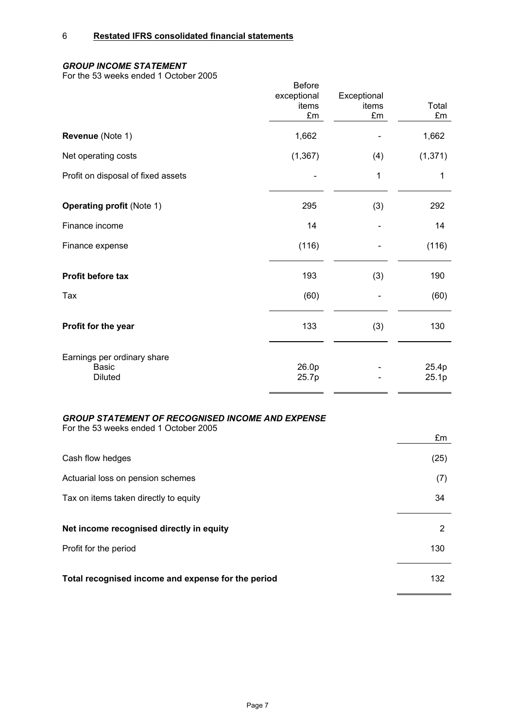# 6 **Restated IFRS consolidated financial statements**

# *GROUP INCOME STATEMENT*

For the 53 weeks ended 1 October 2005

|                                                               | <b>Before</b><br>exceptional<br>items<br>£m | Exceptional<br>items<br>£m | Total<br>£m    |
|---------------------------------------------------------------|---------------------------------------------|----------------------------|----------------|
| Revenue (Note 1)                                              | 1,662                                       |                            | 1,662          |
| Net operating costs                                           | (1, 367)                                    | (4)                        | (1, 371)       |
| Profit on disposal of fixed assets                            |                                             | 1                          | 1              |
| <b>Operating profit (Note 1)</b>                              | 295                                         | (3)                        | 292            |
| Finance income                                                | 14                                          |                            | 14             |
| Finance expense                                               | (116)                                       |                            | (116)          |
| Profit before tax                                             | 193                                         | (3)                        | 190            |
| Tax                                                           | (60)                                        |                            | (60)           |
| Profit for the year                                           | 133                                         | (3)                        | 130            |
| Earnings per ordinary share<br><b>Basic</b><br><b>Diluted</b> | 26.0p<br>25.7p                              |                            | 25.4p<br>25.1p |

# *GROUP STATEMENT OF RECOGNISED INCOME AND EXPENSE*

For the 53 weeks ended 1 October 2005

|                                                    | £m   |
|----------------------------------------------------|------|
| Cash flow hedges                                   | (25) |
| Actuarial loss on pension schemes                  | (7)  |
| Tax on items taken directly to equity              | 34   |
|                                                    |      |
| Net income recognised directly in equity           | 2    |
| Profit for the period                              | 130  |
|                                                    |      |
| Total recognised income and expense for the period | 132  |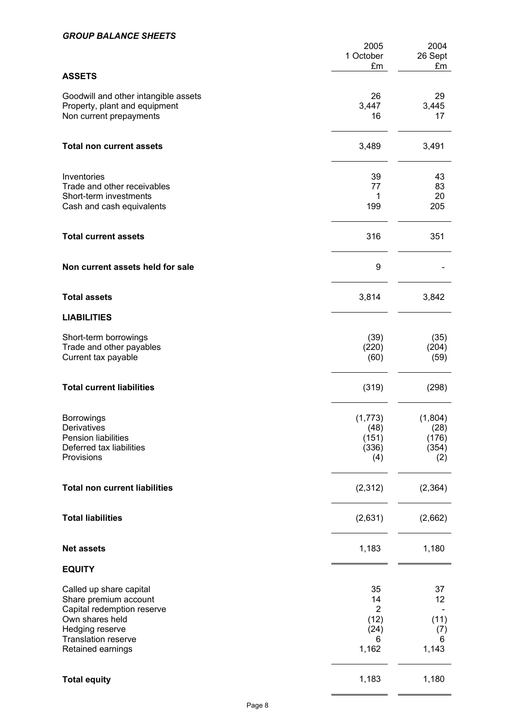# *GROUP BALANCE SHEETS*

|                                                                                                                                                                  | 2005<br>1 October<br>£m                                  | 2004<br>26 Sept<br>£m                    |
|------------------------------------------------------------------------------------------------------------------------------------------------------------------|----------------------------------------------------------|------------------------------------------|
| <b>ASSETS</b>                                                                                                                                                    |                                                          |                                          |
| Goodwill and other intangible assets<br>Property, plant and equipment<br>Non current prepayments                                                                 | 26<br>3,447<br>16                                        | 29<br>3,445<br>17                        |
| <b>Total non current assets</b>                                                                                                                                  | 3,489                                                    | 3,491                                    |
| Inventories<br>Trade and other receivables<br>Short-term investments<br>Cash and cash equivalents                                                                | 39<br>77<br>1<br>199                                     | 43<br>83<br>20<br>205                    |
| <b>Total current assets</b>                                                                                                                                      | 316                                                      | 351                                      |
| Non current assets held for sale                                                                                                                                 | 9                                                        |                                          |
| <b>Total assets</b>                                                                                                                                              | 3,814                                                    | 3,842                                    |
| <b>LIABILITIES</b>                                                                                                                                               |                                                          |                                          |
| Short-term borrowings<br>Trade and other payables<br>Current tax payable                                                                                         | (39)<br>(220)<br>(60)                                    | (35)<br>(204)<br>(59)                    |
| <b>Total current liabilities</b>                                                                                                                                 | (319)                                                    | (298)                                    |
| <b>Borrowings</b><br>Derivatives<br>Pension liabilities<br>Deferred tax liabilities<br>Provisions                                                                | (1,773)<br>(48)<br>(151)<br>(336)<br>(4)                 | (1,804)<br>(28)<br>(176)<br>(354)<br>(2) |
| <b>Total non current liabilities</b>                                                                                                                             | (2,312)                                                  | (2, 364)                                 |
| <b>Total liabilities</b>                                                                                                                                         | (2,631)                                                  | (2,662)                                  |
| <b>Net assets</b>                                                                                                                                                | 1,183                                                    | 1,180                                    |
| <b>EQUITY</b>                                                                                                                                                    |                                                          |                                          |
| Called up share capital<br>Share premium account<br>Capital redemption reserve<br>Own shares held<br>Hedging reserve<br>Translation reserve<br>Retained earnings | 35<br>14<br>$\overline{2}$<br>(12)<br>(24)<br>6<br>1,162 | 37<br>12<br>(11)<br>(7)<br>6<br>1,143    |
| <b>Total equity</b>                                                                                                                                              | 1,183                                                    | 1,180                                    |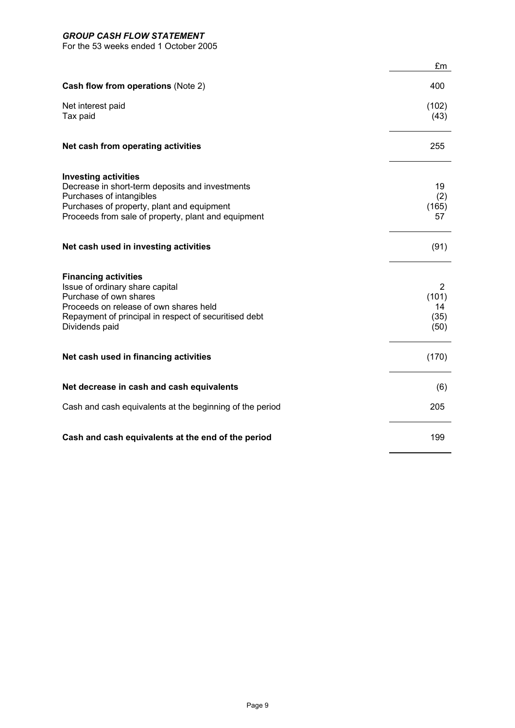# *GROUP CASH FLOW STATEMENT*

For the 53 weeks ended 1 October 2005

|                                                                                                                                                                                                                 | £m                               |
|-----------------------------------------------------------------------------------------------------------------------------------------------------------------------------------------------------------------|----------------------------------|
| Cash flow from operations (Note 2)                                                                                                                                                                              | 400                              |
| Net interest paid<br>Tax paid                                                                                                                                                                                   | (102)<br>(43)                    |
| Net cash from operating activities                                                                                                                                                                              | 255                              |
| <b>Investing activities</b><br>Decrease in short-term deposits and investments<br>Purchases of intangibles<br>Purchases of property, plant and equipment<br>Proceeds from sale of property, plant and equipment | 19<br>(2)<br>(165)<br>57         |
| Net cash used in investing activities                                                                                                                                                                           | (91)                             |
| <b>Financing activities</b><br>Issue of ordinary share capital<br>Purchase of own shares<br>Proceeds on release of own shares held<br>Repayment of principal in respect of securitised debt<br>Dividends paid   | 2<br>(101)<br>14<br>(35)<br>(50) |
| Net cash used in financing activities                                                                                                                                                                           | (170)                            |
| Net decrease in cash and cash equivalents                                                                                                                                                                       | (6)                              |
| Cash and cash equivalents at the beginning of the period                                                                                                                                                        | 205                              |
| Cash and cash equivalents at the end of the period                                                                                                                                                              | 199                              |

 $\overline{\phantom{0}}$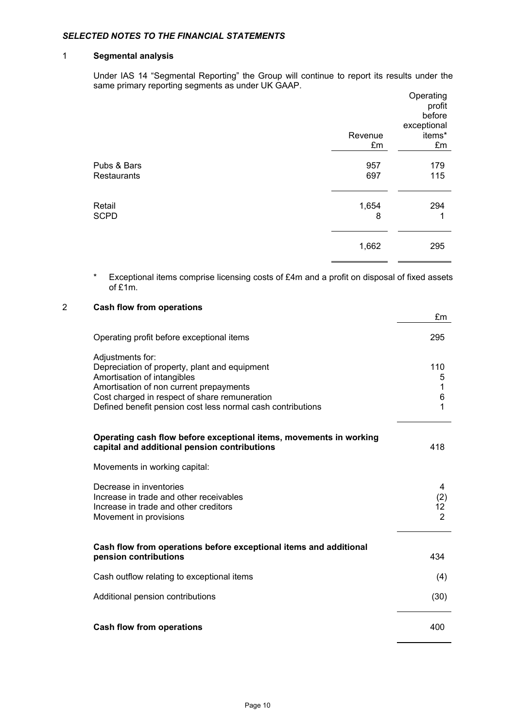# *SELECTED NOTES TO THE FINANCIAL STATEMENTS*

## 1 **Segmental analysis**

Under IAS 14 "Segmental Reporting" the Group will continue to report its results under the same primary reporting segments as under UK GAAP.

|                                   |            | Operating<br>profit<br>before<br>exceptional |
|-----------------------------------|------------|----------------------------------------------|
|                                   | Revenue    | items*                                       |
|                                   | £m         | £m                                           |
| Pubs & Bars<br><b>Restaurants</b> | 957<br>697 | 179<br>115                                   |
| Retail<br><b>SCPD</b>             | 1,654<br>8 | 294<br>1                                     |
|                                   | 1,662      | 295                                          |

\* Exceptional items comprise licensing costs of £4m and a profit on disposal of fixed assets of £1m.

| $\overline{2}$ | <b>Cash flow from operations</b>                                                                                                                                                                                                                            |                                  |
|----------------|-------------------------------------------------------------------------------------------------------------------------------------------------------------------------------------------------------------------------------------------------------------|----------------------------------|
|                |                                                                                                                                                                                                                                                             | £m                               |
|                | Operating profit before exceptional items                                                                                                                                                                                                                   | 295                              |
|                | Adjustments for:<br>Depreciation of property, plant and equipment<br>Amortisation of intangibles<br>Amortisation of non current prepayments<br>Cost charged in respect of share remuneration<br>Defined benefit pension cost less normal cash contributions | 110<br>5<br>1<br>6<br>1          |
|                | Operating cash flow before exceptional items, movements in working<br>capital and additional pension contributions                                                                                                                                          | 418                              |
|                | Movements in working capital:                                                                                                                                                                                                                               |                                  |
|                | Decrease in inventories<br>Increase in trade and other receivables<br>Increase in trade and other creditors<br>Movement in provisions                                                                                                                       | 4<br>(2)<br>12<br>$\overline{2}$ |
|                | Cash flow from operations before exceptional items and additional<br>pension contributions                                                                                                                                                                  | 434                              |
|                | Cash outflow relating to exceptional items                                                                                                                                                                                                                  | (4)                              |
|                | Additional pension contributions                                                                                                                                                                                                                            | (30)                             |
|                | <b>Cash flow from operations</b>                                                                                                                                                                                                                            | 400                              |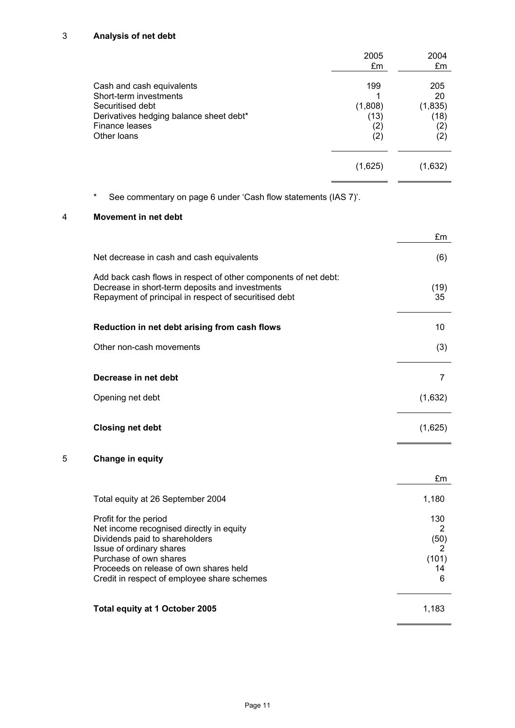# 3 **Analysis of net debt**

|                                                                                                                                                     | 2005<br>£m                           | 2004<br>£m                                 |
|-----------------------------------------------------------------------------------------------------------------------------------------------------|--------------------------------------|--------------------------------------------|
| Cash and cash equivalents<br>Short-term investments<br>Securitised debt<br>Derivatives hedging balance sheet debt*<br>Finance leases<br>Other Ioans | 199<br>(1,808)<br>(13)<br>(2)<br>(2) | 205<br>20<br>(1,835)<br>(18)<br>(2)<br>(2) |
|                                                                                                                                                     | (1,625)                              | (1,632)                                    |

\* See commentary on page 6 under 'Cash flow statements (IAS 7)'.

# 4 **Movement in net debt**

|                                                                                                                                                                                                                                                    | £m                                        |
|----------------------------------------------------------------------------------------------------------------------------------------------------------------------------------------------------------------------------------------------------|-------------------------------------------|
| Net decrease in cash and cash equivalents                                                                                                                                                                                                          | (6)                                       |
| Add back cash flows in respect of other components of net debt:<br>Decrease in short-term deposits and investments<br>Repayment of principal in respect of securitised debt                                                                        | (19)<br>35                                |
| Reduction in net debt arising from cash flows                                                                                                                                                                                                      | 10                                        |
| Other non-cash movements                                                                                                                                                                                                                           | (3)                                       |
| Decrease in net debt                                                                                                                                                                                                                               | 7                                         |
| Opening net debt                                                                                                                                                                                                                                   | (1,632)                                   |
| <b>Closing net debt</b>                                                                                                                                                                                                                            | (1,625)                                   |
| 5<br><b>Change in equity</b>                                                                                                                                                                                                                       |                                           |
|                                                                                                                                                                                                                                                    | £m                                        |
| Total equity at 26 September 2004                                                                                                                                                                                                                  | 1,180                                     |
| Profit for the period<br>Net income recognised directly in equity<br>Dividends paid to shareholders<br>Issue of ordinary shares<br>Purchase of own shares<br>Proceeds on release of own shares held<br>Credit in respect of employee share schemes | 130<br>2<br>(50)<br>2<br>(101)<br>14<br>6 |
| Total equity at 1 October 2005                                                                                                                                                                                                                     | 1,183                                     |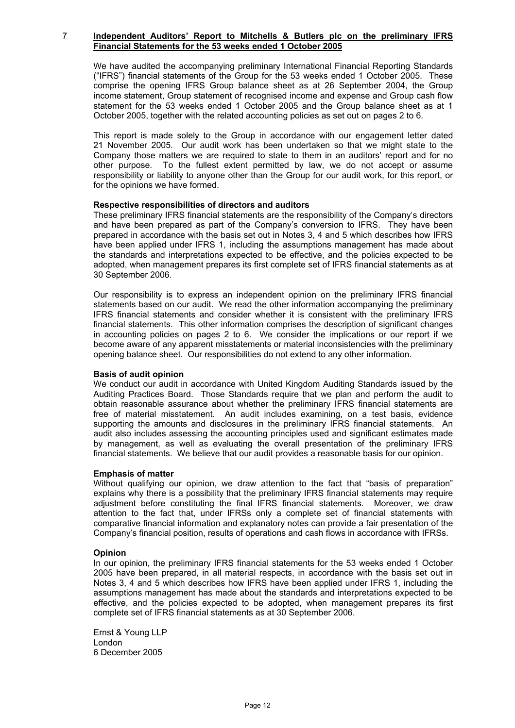#### 7 **Independent Auditors' Report to Mitchells & Butlers plc on the preliminary IFRS Financial Statements for the 53 weeks ended 1 October 2005**

We have audited the accompanying preliminary International Financial Reporting Standards ("IFRS") financial statements of the Group for the 53 weeks ended 1 October 2005. These comprise the opening IFRS Group balance sheet as at 26 September 2004, the Group income statement, Group statement of recognised income and expense and Group cash flow statement for the 53 weeks ended 1 October 2005 and the Group balance sheet as at 1 October 2005, together with the related accounting policies as set out on pages 2 to 6.

This report is made solely to the Group in accordance with our engagement letter dated 21 November 2005. Our audit work has been undertaken so that we might state to the Company those matters we are required to state to them in an auditors' report and for no other purpose. To the fullest extent permitted by law, we do not accept or assume responsibility or liability to anyone other than the Group for our audit work, for this report, or for the opinions we have formed.

#### **Respective responsibilities of directors and auditors**

These preliminary IFRS financial statements are the responsibility of the Company's directors and have been prepared as part of the Company's conversion to IFRS. They have been prepared in accordance with the basis set out in Notes 3, 4 and 5 which describes how IFRS have been applied under IFRS 1, including the assumptions management has made about the standards and interpretations expected to be effective, and the policies expected to be adopted, when management prepares its first complete set of IFRS financial statements as at 30 September 2006.

Our responsibility is to express an independent opinion on the preliminary IFRS financial statements based on our audit. We read the other information accompanying the preliminary IFRS financial statements and consider whether it is consistent with the preliminary IFRS financial statements. This other information comprises the description of significant changes in accounting policies on pages 2 to 6. We consider the implications or our report if we become aware of any apparent misstatements or material inconsistencies with the preliminary opening balance sheet. Our responsibilities do not extend to any other information.

#### **Basis of audit opinion**

We conduct our audit in accordance with United Kingdom Auditing Standards issued by the Auditing Practices Board. Those Standards require that we plan and perform the audit to obtain reasonable assurance about whether the preliminary IFRS financial statements are free of material misstatement. An audit includes examining, on a test basis, evidence supporting the amounts and disclosures in the preliminary IFRS financial statements. An audit also includes assessing the accounting principles used and significant estimates made by management, as well as evaluating the overall presentation of the preliminary IFRS financial statements. We believe that our audit provides a reasonable basis for our opinion.

#### **Emphasis of matter**

Without qualifying our opinion, we draw attention to the fact that "basis of preparation" explains why there is a possibility that the preliminary IFRS financial statements may require adjustment before constituting the final IFRS financial statements. Moreover, we draw attention to the fact that, under IFRSs only a complete set of financial statements with comparative financial information and explanatory notes can provide a fair presentation of the Company's financial position, results of operations and cash flows in accordance with IFRSs.

#### **Opinion**

In our opinion, the preliminary IFRS financial statements for the 53 weeks ended 1 October 2005 have been prepared, in all material respects, in accordance with the basis set out in Notes 3, 4 and 5 which describes how IFRS have been applied under IFRS 1, including the assumptions management has made about the standards and interpretations expected to be effective, and the policies expected to be adopted, when management prepares its first complete set of IFRS financial statements as at 30 September 2006.

Ernst & Young LLP London 6 December 2005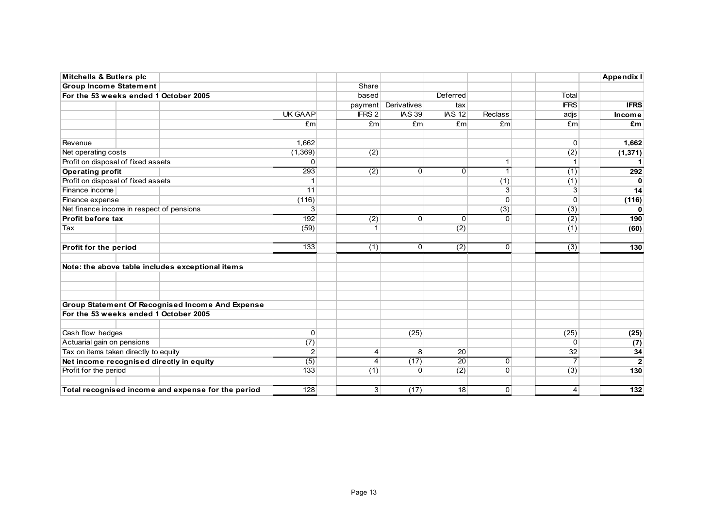| <b>Mitchells &amp; Butlers plc</b>                 |                                                  |                  |                   |                     |                  |                |                  | Appendix I       |
|----------------------------------------------------|--------------------------------------------------|------------------|-------------------|---------------------|------------------|----------------|------------------|------------------|
| <b>Group Income Statement</b>                      |                                                  |                  | Share             |                     |                  |                |                  |                  |
| For the 53 weeks ended 1 October 2005              |                                                  |                  | based             |                     | Deferred         |                | Total            |                  |
|                                                    |                                                  |                  |                   | payment Derivatives | tax              |                | <b>IFRS</b>      | <b>IFRS</b>      |
|                                                    |                                                  | UK GAAP          | IFRS <sub>2</sub> | <b>IAS 39</b>       | <b>IAS 12</b>    | <b>Reclass</b> | adjs             | Income           |
|                                                    |                                                  | Em               | Em                | E <sub>m</sub>      | Em <sub>l</sub>  | Em             | Em               | £m               |
| Revenue                                            |                                                  | 1,662            |                   |                     |                  |                | 0                | 1,662            |
| Net operating costs                                |                                                  | (1,369)          | (2)               |                     |                  |                | (2)              | (1, 371)         |
| Profit on disposal of fixed assets                 |                                                  | 0                |                   |                     |                  | 1              |                  |                  |
| <b>Operating profit</b>                            |                                                  | $\overline{293}$ | (2)               | $\Omega$            | 0                | $\mathbf{1}$   | (1)              | 292              |
| Profit on disposal of fixed assets                 |                                                  | 1                |                   |                     |                  | (1)            | (1)              | $\Omega$         |
| Finance income                                     |                                                  | 11               |                   |                     |                  | $\overline{3}$ | 3                | 14               |
| Finance expense                                    |                                                  | (116)            |                   |                     |                  | $\Omega$       | $\Omega$         | (116)            |
| Net finance income in respect of pensions          |                                                  | 3                |                   |                     |                  | (3)            | (3)              | $\mathbf{0}$     |
| Profit before tax                                  |                                                  | 192              | (2)               | $\overline{0}$      | 0                | $\Omega$       | (2)              | 190              |
| Tax                                                |                                                  | (59)             |                   |                     | (2)              |                | (1)              | (60)             |
| Profit for the period                              |                                                  | 133              | (1)               | $\Omega$            | $\overline{(2)}$ | $\Omega$       | $\overline{(3)}$ | 130              |
| Note: the above table includes exceptional items   |                                                  |                  |                   |                     |                  |                |                  |                  |
|                                                    |                                                  |                  |                   |                     |                  |                |                  |                  |
|                                                    | Group Statement Of Recognised Income And Expense |                  |                   |                     |                  |                |                  |                  |
| For the 53 weeks ended 1 October 2005              |                                                  |                  |                   |                     |                  |                |                  |                  |
| Cash flow hedges                                   |                                                  | 0                |                   | (25)                |                  |                | (25)             | (25)             |
| Actuarial gain on pensions                         |                                                  | (7)              |                   |                     |                  |                | $\Omega$         | (7)              |
| Tax on items taken directly to equity              |                                                  | $\overline{c}$   | 4                 | 8 <sup>1</sup>      | 20               |                | 32               | 34               |
| Net income recognised directly in equity           |                                                  | (5)              | $\overline{4}$    | (17)                | $\overline{20}$  | $\overline{0}$ | $\overline{7}$   | $\overline{2}$   |
| Profit for the period                              |                                                  | 133              | (1)               | $\Omega$            | (2)              | $\Omega$       | (3)              | 130              |
| Total recognised income and expense for the period |                                                  | $\overline{128}$ | 3 <sup>1</sup>    | (17)                | 18               | $\overline{0}$ | $\overline{4}$   | $\overline{132}$ |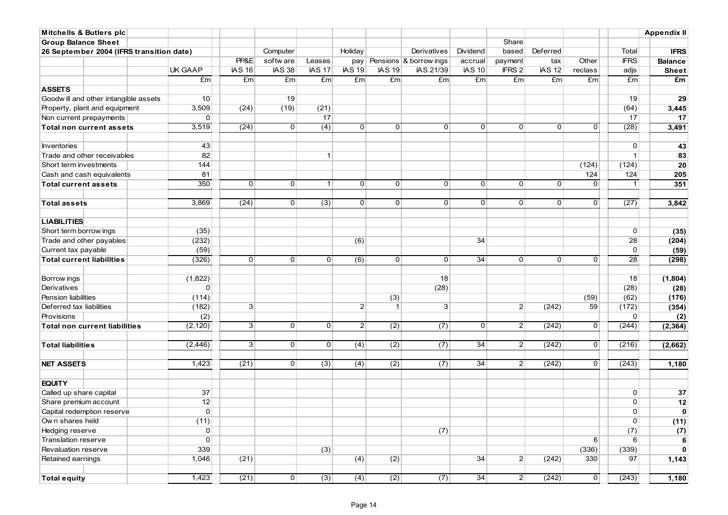| <b>Mitchells &amp; Butlers plc</b>                 |                |                |                |                |                  |                  |                            |                 |                |                |                |                | <b>Appendix II</b> |
|----------------------------------------------------|----------------|----------------|----------------|----------------|------------------|------------------|----------------------------|-----------------|----------------|----------------|----------------|----------------|--------------------|
| <b>Group Balance Sheet</b>                         |                |                |                |                |                  |                  |                            |                 | Share          |                |                |                |                    |
| 26 September 2004 (IFRS transition date)           |                |                | Computer       |                | Holiday          |                  | Derivatives                | Dividend        | based          | Deferred       |                | Total          | <b>IFRS</b>        |
|                                                    |                | PP&E           | softw are      | Leases         |                  |                  | pay Pensions & borrow ings | accrual         | payment        | tax            | Other          | <b>IFRS</b>    | <b>Balance</b>     |
|                                                    | <b>UK GAAP</b> | <b>IAS 16</b>  | <b>IAS 38</b>  | <b>IAS 17</b>  | <b>IAS 19</b>    | <b>IAS 19</b>    | IAS 21/39                  | <b>IAS 10</b>   | IFRS 2         | <b>IAS 12</b>  | reclass        | adjs           | <b>Sheet</b>       |
|                                                    | £m             | £m             | £m             | £m             | £m               | Em               | Em                         | E <sub>m</sub>  | £m             | £m             | £m             | £m             | £m                 |
| <b>ASSETS</b>                                      |                |                |                |                |                  |                  |                            |                 |                |                |                |                |                    |
| Goodwill and other intangible assets               | 10             |                | 19             |                |                  |                  |                            |                 |                |                |                | 19             | 29                 |
| Property, plant and equipment                      | 3,509          | (24)           | (19)           | (21)           |                  |                  |                            |                 |                |                |                | (64)           | 3,445              |
| Non current prepayments                            | 0              |                |                | 17             |                  |                  |                            |                 |                |                |                | 17             | 17                 |
| <b>Total non current assets</b>                    | 3,519          | (24)           | $\overline{0}$ | (4)            | $\overline{0}$   | $\overline{0}$   | $\Omega$                   | $\Omega$        | $\overline{0}$ | $\Omega$       | $\overline{0}$ | (28)           | 3,491              |
|                                                    |                |                |                |                |                  |                  |                            |                 |                |                |                |                |                    |
| <b>Inventories</b>                                 | 43             |                |                |                |                  |                  |                            |                 |                |                |                | 0              | 43                 |
| Trade and other receivables                        | 82             |                |                | $\mathbf{1}$   |                  |                  |                            |                 |                |                |                | $\mathbf{1}$   | 83                 |
| Short term investments                             | 144            |                |                |                |                  |                  |                            |                 |                |                | (124)          | (124)          | 20                 |
| Cash and cash equivalents                          | 81             |                |                |                |                  |                  |                            |                 |                |                | 124            | 124            | 205                |
| <b>Total current assets</b>                        | 350            | $\overline{0}$ | $\overline{0}$ | 1 <sup>1</sup> | $\overline{0}$   | 0                | 0                          | 0 <sup>1</sup>  | 0              | $\overline{0}$ | $\overline{0}$ | $\mathbf{1}$   | 351                |
|                                                    |                |                |                |                |                  |                  |                            |                 |                |                |                |                |                    |
| <b>Total assets</b>                                | 3,869          | (24)           | 0              | (3)            | 0                | $\overline{0}$   | $\overline{0}$             | $\overline{0}$  | $\overline{0}$ | $\overline{0}$ | $\overline{0}$ | (27)           | 3,842              |
|                                                    |                |                |                |                |                  |                  |                            |                 |                |                |                |                |                    |
| <b>LIABILITIES</b>                                 | (35)           |                |                |                |                  |                  |                            |                 |                |                |                | 0              |                    |
| Short term borrow ings<br>Trade and other payables | (232)          |                |                |                |                  |                  |                            | 34              |                |                |                | 28             | (35)               |
| Current tax payable                                | (59)           |                |                |                | (6)              |                  |                            |                 |                |                |                | $\mathbf{O}$   | (204)              |
| <b>Total current liabilities</b>                   | (326)          | $\overline{0}$ | 0              | $\Omega$       | (6)              | $\overline{0}$   | $\Omega$                   | 34              | $\overline{0}$ | $\Omega$       | $\overline{0}$ | 28             | (59)<br>(298)      |
|                                                    |                |                |                |                |                  |                  |                            |                 |                |                |                |                |                    |
| Borrow ings                                        | (1,822)        |                |                |                |                  |                  | 18                         |                 |                |                |                | 18             | (1, 804)           |
| Derivatives                                        | 0              |                |                |                |                  |                  | (28)                       |                 |                |                |                | (28)           | (28)               |
| Pension liabilities                                | (114)          |                |                |                |                  | (3)              |                            |                 |                |                | (59)           | (62)           | (176)              |
| Deferred tax liabilities                           | (182)          | 3 <sup>2</sup> |                |                | $\overline{2}$   | $\mathbf{1}$     | 3                          |                 | $\overline{2}$ | (242)          | 59             | (172)          | (354)              |
| Provisions                                         | (2)            |                |                |                |                  |                  |                            |                 |                |                |                | 0              | (2)                |
| <b>Total non current liabilities</b>               | (2, 120)       | 3 <sup>2</sup> | 0              | 0 <sup>1</sup> | $\overline{2}$   | (2)              | $\overline{(7)}$           | 0 <sup>1</sup>  | $\overline{2}$ | (242)          | $\overline{0}$ | (244)          | (2, 364)           |
|                                                    |                |                |                |                |                  |                  |                            |                 |                |                |                |                |                    |
| <b>Total liabilities</b>                           | (2, 446)       | 3 <sup>2</sup> | 0              | $\overline{0}$ | $\overline{(4)}$ | $\overline{(2)}$ | (7)                        | $\overline{34}$ | $\overline{2}$ | (242)          | 0              | (216)          | (2,662)            |
|                                                    |                |                |                |                |                  |                  |                            |                 |                |                |                |                |                    |
| <b>NET ASSETS</b>                                  | 1,423          | (21)           | $\overline{0}$ | (3)            | (4)              | (2)              | (7)                        | 34              | $\overline{2}$ | (242)          | $\overline{0}$ | (243)          | 1,180              |
|                                                    |                |                |                |                |                  |                  |                            |                 |                |                |                |                |                    |
| <b>EQUITY</b>                                      |                |                |                |                |                  |                  |                            |                 |                |                |                |                |                    |
| Called up share capital                            | 37             |                |                |                |                  |                  |                            |                 |                |                |                | 0              | 37                 |
| Share premium account                              | 12             |                |                |                |                  |                  |                            |                 |                |                |                | $\mathbf{0}$   | 12                 |
| Capital redemption reserve                         | $\overline{0}$ |                |                |                |                  |                  |                            |                 |                |                |                | $\Omega$       | $\mathbf 0$        |
| Own shares held                                    | (11)           |                |                |                |                  |                  |                            |                 |                |                |                | $\overline{0}$ | (11)               |
| <b>Hedging reserve</b>                             | 0              |                |                |                |                  |                  | (7)                        |                 |                |                |                | (7)            | (7)                |
| Translation reserve                                | $\overline{0}$ |                |                |                |                  |                  |                            |                 |                |                | $6 \mid$       | $6 \mid$       | 6                  |
| Revaluation reserve                                | 339            |                |                | (3)            |                  |                  |                            |                 |                |                | (336)          | (339)          | $\mathbf{0}$       |
| Retained earnings                                  | 1,046          | (21)           |                |                | (4)              | (2)              |                            | 34              | $\mathbf{2}$   | (242)          | 330            | 97             | 1,143              |
|                                                    |                |                |                |                |                  |                  |                            |                 |                |                |                |                |                    |
| <b>Total equity</b>                                | 1,423          | (21)           | 0              | (3)            | (4)              | $\overline{(2)}$ | $\overline{(7)}$           | $\overline{34}$ | $\mathbf{2}$   | (242)          | 0              | (243)          | 1,180              |